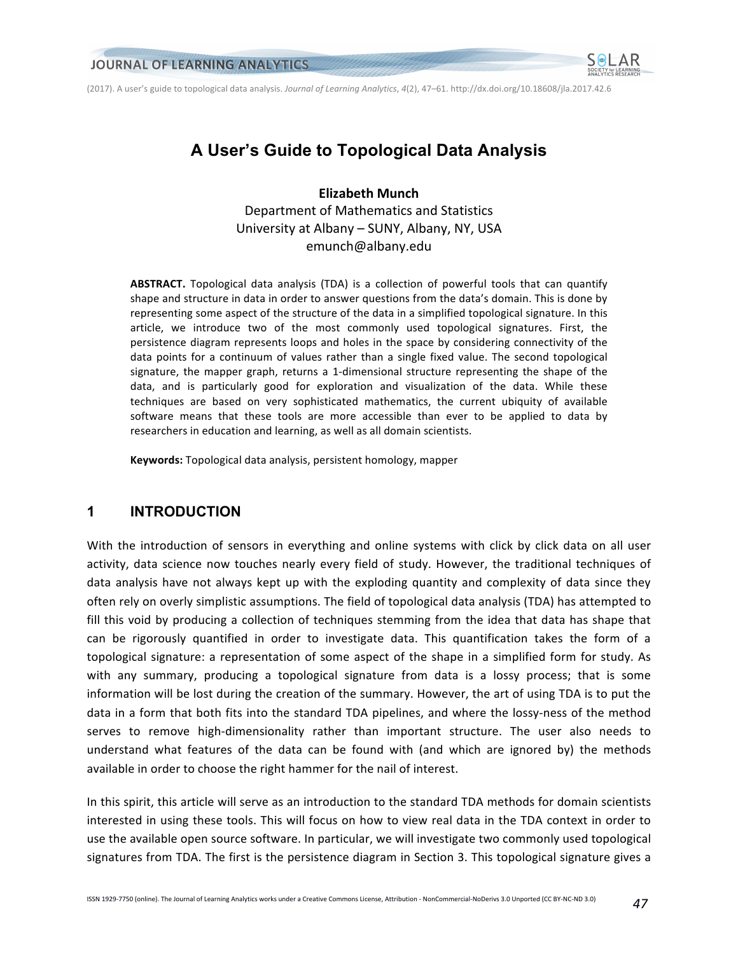

(2017). A user's guide to topological data analysis. Journal of Learning Analytics, 4(2), 47–61. http://dx.doi.org/10.18608/jla.2017.42.6

# **A User's Guide to Topological Data Analysis**

### **Elizabeth Munch**

Department of Mathematics and Statistics University at Albany – SUNY, Albany, NY, USA emunch@albany.edu

**ABSTRACT.** Topological data analysis (TDA) is a collection of powerful tools that can quantify shape and structure in data in order to answer questions from the data's domain. This is done by representing some aspect of the structure of the data in a simplified topological signature. In this article, we introduce two of the most commonly used topological signatures. First, the persistence diagram represents loops and holes in the space by considering connectivity of the data points for a continuum of values rather than a single fixed value. The second topological signature, the mapper graph, returns a 1-dimensional structure representing the shape of the data, and is particularly good for exploration and visualization of the data. While these techniques are based on very sophisticated mathematics, the current ubiquity of available software means that these tools are more accessible than ever to be applied to data by researchers in education and learning, as well as all domain scientists.

**Keywords:** Topological data analysis, persistent homology, mapper

## **1 INTRODUCTION**

With the introduction of sensors in everything and online systems with click by click data on all user activity, data science now touches nearly every field of study. However, the traditional techniques of data analysis have not always kept up with the exploding quantity and complexity of data since they often rely on overly simplistic assumptions. The field of topological data analysis (TDA) has attempted to fill this void by producing a collection of techniques stemming from the idea that data has shape that can be rigorously quantified in order to investigate data. This quantification takes the form of a topological signature: a representation of some aspect of the shape in a simplified form for study. As with any summary, producing a topological signature from data is a lossy process; that is some information will be lost during the creation of the summary. However, the art of using TDA is to put the data in a form that both fits into the standard TDA pipelines, and where the lossy-ness of the method serves to remove high-dimensionality rather than important structure. The user also needs to understand what features of the data can be found with (and which are ignored by) the methods available in order to choose the right hammer for the nail of interest.

In this spirit, this article will serve as an introduction to the standard TDA methods for domain scientists interested in using these tools. This will focus on how to view real data in the TDA context in order to use the available open source software. In particular, we will investigate two commonly used topological signatures from TDA. The first is the persistence diagram in Section 3. This topological signature gives a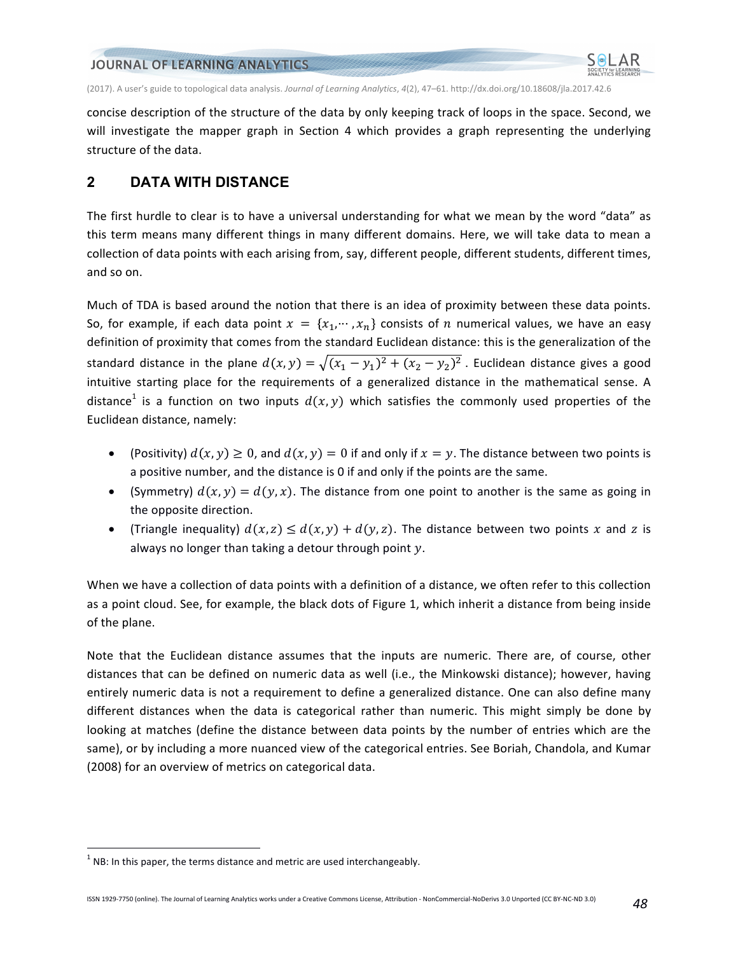

(2017). A user's guide to topological data analysis. *Journal of Learning Analytics*, 4(2), 47-61. http://dx.doi.org/10.18608/jla.2017.42.6

concise description of the structure of the data by only keeping track of loops in the space. Second, we will investigate the mapper graph in Section 4 which provides a graph representing the underlying structure of the data.

## **2 DATA WITH DISTANCE**

The first hurdle to clear is to have a universal understanding for what we mean by the word "data" as this term means many different things in many different domains. Here, we will take data to mean a collection of data points with each arising from, say, different people, different students, different times, and so on.

Much of TDA is based around the notion that there is an idea of proximity between these data points. So, for example, if each data point  $x = \{x_1, \dots, x_n\}$  consists of *n* numerical values, we have an easy definition of proximity that comes from the standard Euclidean distance: this is the generalization of the standard distance in the plane  $d(x,y) = \sqrt{(x_1 - y_1)^2 + (x_2 - y_2)^2}$ . Euclidean distance gives a good intuitive starting place for the requirements of a generalized distance in the mathematical sense. A distance<sup>1</sup> is a function on two inputs  $d(x, y)$  which satisfies the commonly used properties of the Euclidean distance, namely:

- (Positivity)  $d(x, y) \ge 0$ , and  $d(x, y) = 0$  if and only if  $x = y$ . The distance between two points is a positive number, and the distance is 0 if and only if the points are the same.
- (Symmetry)  $d(x, y) = d(y, x)$ . The distance from one point to another is the same as going in the opposite direction.
- (Triangle inequality)  $d(x, z) \leq d(x, y) + d(y, z)$ . The distance between two points x and z is always no longer than taking a detour through point  $y$ .

When we have a collection of data points with a definition of a distance, we often refer to this collection as a point cloud. See, for example, the black dots of Figure 1, which inherit a distance from being inside of the plane.

Note that the Euclidean distance assumes that the inputs are numeric. There are, of course, other distances that can be defined on numeric data as well (i.e., the Minkowski distance); however, having entirely numeric data is not a requirement to define a generalized distance. One can also define many different distances when the data is categorical rather than numeric. This might simply be done by looking at matches (define the distance between data points by the number of entries which are the same), or by including a more nuanced view of the categorical entries. See Boriah, Chandola, and Kumar (2008) for an overview of metrics on categorical data.

 $1$  NB: In this paper, the terms distance and metric are used interchangeably.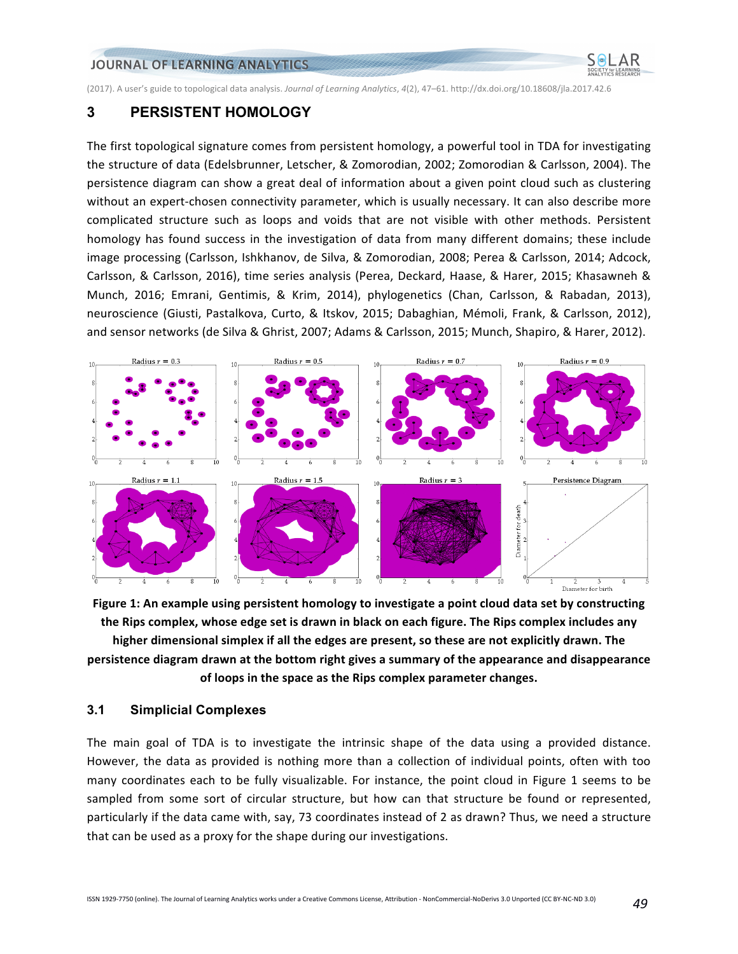

(2017). A user's guide to topological data analysis. *Journal of Learning Analytics*,  $4(2)$ ,  $47-61$ . http://dx.doi.org/10.18608/jla.2017.42.6

## **3 PERSISTENT HOMOLOGY**

The first topological signature comes from persistent homology, a powerful tool in TDA for investigating the structure of data (Edelsbrunner, Letscher, & Zomorodian, 2002; Zomorodian & Carlsson, 2004). The persistence diagram can show a great deal of information about a given point cloud such as clustering without an expert-chosen connectivity parameter, which is usually necessary. It can also describe more complicated structure such as loops and voids that are not visible with other methods. Persistent homology has found success in the investigation of data from many different domains; these include image processing (Carlsson, Ishkhanov, de Silva, & Zomorodian, 2008; Perea & Carlsson, 2014; Adcock, Carlsson, & Carlsson, 2016), time series analysis (Perea, Deckard, Haase, & Harer, 2015; Khasawneh & Munch, 2016; Emrani, Gentimis, & Krim, 2014), phylogenetics (Chan, Carlsson, & Rabadan, 2013), neuroscience (Giusti, Pastalkova, Curto, & Itskov, 2015; Dabaghian, Mémoli, Frank, & Carlsson, 2012), and sensor networks (de Silva & Ghrist, 2007; Adams & Carlsson, 2015; Munch, Shapiro, & Harer, 2012).



Figure 1: An example using persistent homology to investigate a point cloud data set by constructing the Rips complex, whose edge set is drawn in black on each figure. The Rips complex includes any higher dimensional simplex if all the edges are present, so these are not explicitly drawn. The **persistence diagram drawn at the bottom right gives a summary of the appearance and disappearance** of loops in the space as the Rips complex parameter changes.

#### **3.1 Simplicial Complexes**

The main goal of TDA is to investigate the intrinsic shape of the data using a provided distance. However, the data as provided is nothing more than a collection of individual points, often with too many coordinates each to be fully visualizable. For instance, the point cloud in Figure 1 seems to be sampled from some sort of circular structure, but how can that structure be found or represented, particularly if the data came with, say, 73 coordinates instead of 2 as drawn? Thus, we need a structure that can be used as a proxy for the shape during our investigations.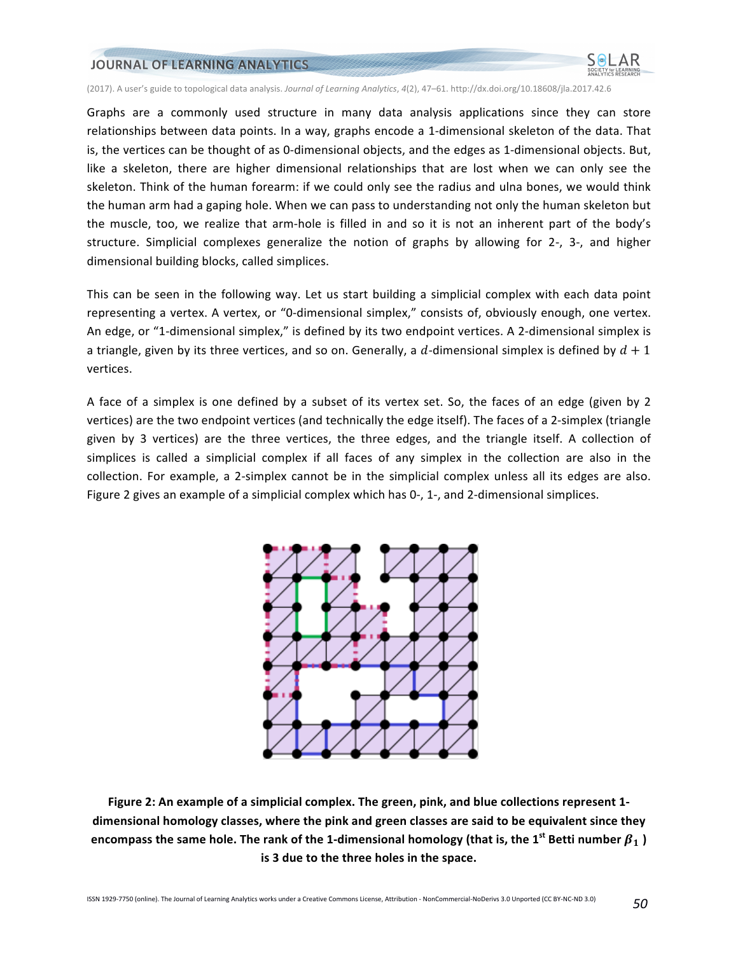

(2017). A user's guide to topological data analysis. *Journal of Learning Analytics*, 4(2), 47-61. http://dx.doi.org/10.18608/jla.2017.42.6

Graphs are a commonly used structure in many data analysis applications since they can store relationships between data points. In a way, graphs encode a 1-dimensional skeleton of the data. That is, the vertices can be thought of as 0-dimensional objects, and the edges as 1-dimensional objects. But, like a skeleton, there are higher dimensional relationships that are lost when we can only see the skeleton. Think of the human forearm: if we could only see the radius and ulna bones, we would think the human arm had a gaping hole. When we can pass to understanding not only the human skeleton but the muscle, too, we realize that arm-hole is filled in and so it is not an inherent part of the body's structure. Simplicial complexes generalize the notion of graphs by allowing for 2-, 3-, and higher dimensional building blocks, called simplices.

This can be seen in the following way. Let us start building a simplicial complex with each data point representing a vertex. A vertex, or "0-dimensional simplex," consists of, obviously enough, one vertex. An edge, or "1-dimensional simplex," is defined by its two endpoint vertices. A 2-dimensional simplex is a triangle, given by its three vertices, and so on. Generally, a d-dimensional simplex is defined by  $d + 1$ vertices.

A face of a simplex is one defined by a subset of its vertex set. So, the faces of an edge (given by 2 vertices) are the two endpoint vertices (and technically the edge itself). The faces of a 2-simplex (triangle given by 3 vertices) are the three vertices, the three edges, and the triangle itself. A collection of simplices is called a simplicial complex if all faces of any simplex in the collection are also in the collection. For example, a 2-simplex cannot be in the simplicial complex unless all its edges are also. Figure 2 gives an example of a simplicial complex which has 0-, 1-, and 2-dimensional simplices.



Figure 2: An example of a simplicial complex. The green, pink, and blue collections represent 1dimensional homology classes, where the pink and green classes are said to be equivalent since they encompass the same hole. The rank of the 1-dimensional homology (that is, the 1<sup>st</sup> Betti number  $\beta_1$ ) **is 3 due to the three holes in the space.**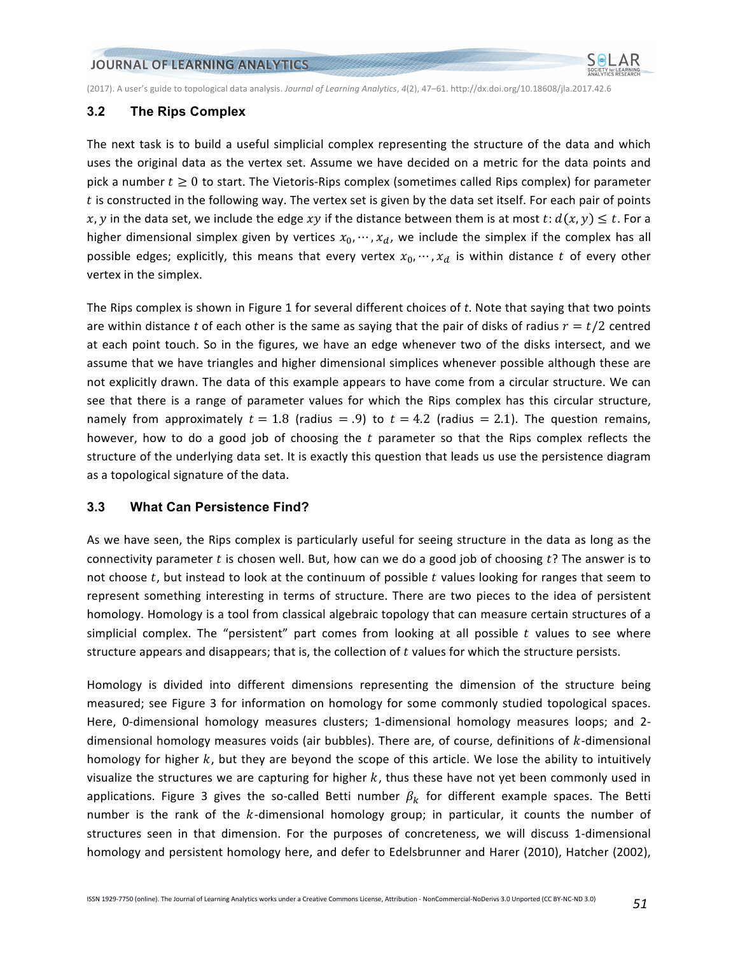

(2017). A user's guide to topological data analysis. Journal of Learning Analytics, 4(2), 47–61. http://dx.doi.org/10.18608/jla.2017.42.6

#### **3.2 The Rips Complex**

The next task is to build a useful simplicial complex representing the structure of the data and which uses the original data as the vertex set. Assume we have decided on a metric for the data points and pick a number  $t \geq 0$  to start. The Vietoris-Rips complex (sometimes called Rips complex) for parameter  $t$  is constructed in the following way. The vertex set is given by the data set itself. For each pair of points x, y in the data set, we include the edge xy if the distance between them is at most t:  $d(x, y) \le t$ . For a higher dimensional simplex given by vertices  $x_0, \dots, x_d$ , we include the simplex if the complex has all possible edges; explicitly, this means that every vertex  $x_0, \dots, x_d$  is within distance t of every other vertex in the simplex.

The Rips complex is shown in Figure 1 for several different choices of t. Note that saying that two points are within distance *t* of each other is the same as saying that the pair of disks of radius  $r = t/2$  centred at each point touch. So in the figures, we have an edge whenever two of the disks intersect, and we assume that we have triangles and higher dimensional simplices whenever possible although these are not explicitly drawn. The data of this example appears to have come from a circular structure. We can see that there is a range of parameter values for which the Rips complex has this circular structure, namely from approximately  $t = 1.8$  (radius = .9) to  $t = 4.2$  (radius = 2.1). The question remains, however, how to do a good job of choosing the  $t$  parameter so that the Rips complex reflects the structure of the underlying data set. It is exactly this question that leads us use the persistence diagram as a topological signature of the data.

#### **3.3 What Can Persistence Find?**

As we have seen, the Rips complex is particularly useful for seeing structure in the data as long as the connectivity parameter t is chosen well. But, how can we do a good job of choosing  $t$ ? The answer is to not choose  $t$ , but instead to look at the continuum of possible  $t$  values looking for ranges that seem to represent something interesting in terms of structure. There are two pieces to the idea of persistent homology. Homology is a tool from classical algebraic topology that can measure certain structures of a simplicial complex. The "persistent" part comes from looking at all possible  $t$  values to see where structure appears and disappears; that is, the collection of  $t$  values for which the structure persists.

Homology is divided into different dimensions representing the dimension of the structure being measured; see Figure 3 for information on homology for some commonly studied topological spaces. Here, 0-dimensional homology measures clusters; 1-dimensional homology measures loops; and 2dimensional homology measures voids (air bubbles). There are, of course, definitions of  $k$ -dimensional homology for higher  $k$ , but they are beyond the scope of this article. We lose the ability to intuitively visualize the structures we are capturing for higher  $k$ , thus these have not yet been commonly used in applications. Figure 3 gives the so-called Betti number  $\beta_k$  for different example spaces. The Betti number is the rank of the k-dimensional homology group; in particular, it counts the number of structures seen in that dimension. For the purposes of concreteness, we will discuss 1-dimensional homology and persistent homology here, and defer to Edelsbrunner and Harer (2010), Hatcher (2002),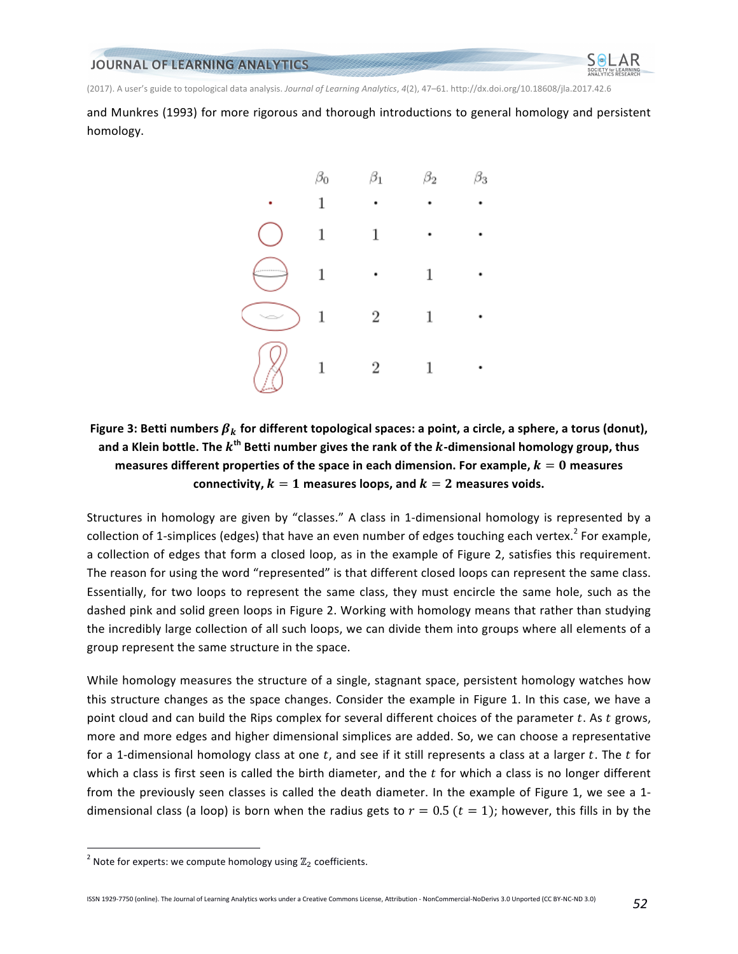(2017). A user's guide to topological data analysis. *Journal of Learning Analytics*, 4(2), 47-61. http://dx.doi.org/10.18608/jla.2017.42.6

and Munkres (1993) for more rigorous and thorough introductions to general homology and persistent homology.



**Figure 3: Betti numbers**  $\beta_k$  **for different topological spaces: a point, a circle, a sphere, a torus (donut),** and a Klein bottle. The  $k^{\text{th}}$  Betti number gives the rank of the  $k$ -dimensional homology group, thus measures different properties of the space in each dimension. For example,  $k = 0$  measures connectivity,  $k = 1$  measures loops, and  $k = 2$  measures voids.

Structures in homology are given by "classes." A class in 1-dimensional homology is represented by a collection of 1-simplices (edges) that have an even number of edges touching each vertex.<sup>2</sup> For example, a collection of edges that form a closed loop, as in the example of Figure 2, satisfies this requirement. The reason for using the word "represented" is that different closed loops can represent the same class. Essentially, for two loops to represent the same class, they must encircle the same hole, such as the dashed pink and solid green loops in Figure 2. Working with homology means that rather than studying the incredibly large collection of all such loops, we can divide them into groups where all elements of a group represent the same structure in the space.

While homology measures the structure of a single, stagnant space, persistent homology watches how this structure changes as the space changes. Consider the example in Figure 1. In this case, we have a point cloud and can build the Rips complex for several different choices of the parameter  $t$ . As  $t$  grows, more and more edges and higher dimensional simplices are added. So, we can choose a representative for a 1-dimensional homology class at one  $t$ , and see if it still represents a class at a larger  $t$ . The  $t$  for which a class is first seen is called the birth diameter, and the  $t$  for which a class is no longer different from the previously seen classes is called the death diameter. In the example of Figure 1, we see a 1dimensional class (a loop) is born when the radius gets to  $r = 0.5$  ( $t = 1$ ); however, this fills in by the

<sup>&</sup>lt;sup>2</sup> Note for experts: we compute homology using  $\mathbb{Z}_2$  coefficients.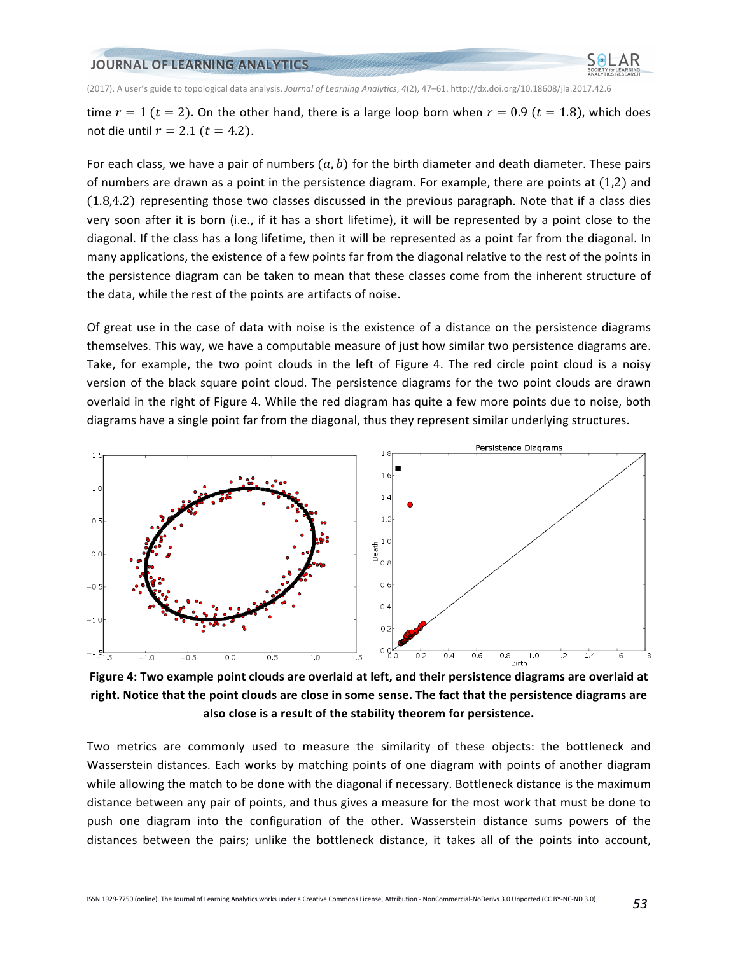

(2017). A user's guide to topological data analysis. *Journal of Learning Analytics*, 4(2), 47-61. http://dx.doi.org/10.18608/jla.2017.42.6

time  $r = 1$  ( $t = 2$ ). On the other hand, there is a large loop born when  $r = 0.9$  ( $t = 1.8$ ), which does not die until  $r = 2.1$  ( $t = 4.2$ ).

For each class, we have a pair of numbers  $(a, b)$  for the birth diameter and death diameter. These pairs of numbers are drawn as a point in the persistence diagram. For example, there are points at  $(1,2)$  and  $(1.8,4.2)$  representing those two classes discussed in the previous paragraph. Note that if a class dies very soon after it is born (i.e., if it has a short lifetime), it will be represented by a point close to the diagonal. If the class has a long lifetime, then it will be represented as a point far from the diagonal. In many applications, the existence of a few points far from the diagonal relative to the rest of the points in the persistence diagram can be taken to mean that these classes come from the inherent structure of the data, while the rest of the points are artifacts of noise.

Of great use in the case of data with noise is the existence of a distance on the persistence diagrams themselves. This way, we have a computable measure of just how similar two persistence diagrams are. Take, for example, the two point clouds in the left of Figure 4. The red circle point cloud is a noisy version of the black square point cloud. The persistence diagrams for the two point clouds are drawn overlaid in the right of Figure 4. While the red diagram has quite a few more points due to noise, both diagrams have a single point far from the diagonal, thus they represent similar underlying structures.



Figure 4: Two example point clouds are overlaid at left, and their persistence diagrams are overlaid at right. Notice that the point clouds are close in some sense. The fact that the persistence diagrams are also close is a result of the stability theorem for persistence.

Two metrics are commonly used to measure the similarity of these objects: the bottleneck and Wasserstein distances. Each works by matching points of one diagram with points of another diagram while allowing the match to be done with the diagonal if necessary. Bottleneck distance is the maximum distance between any pair of points, and thus gives a measure for the most work that must be done to push one diagram into the configuration of the other. Wasserstein distance sums powers of the distances between the pairs; unlike the bottleneck distance, it takes all of the points into account,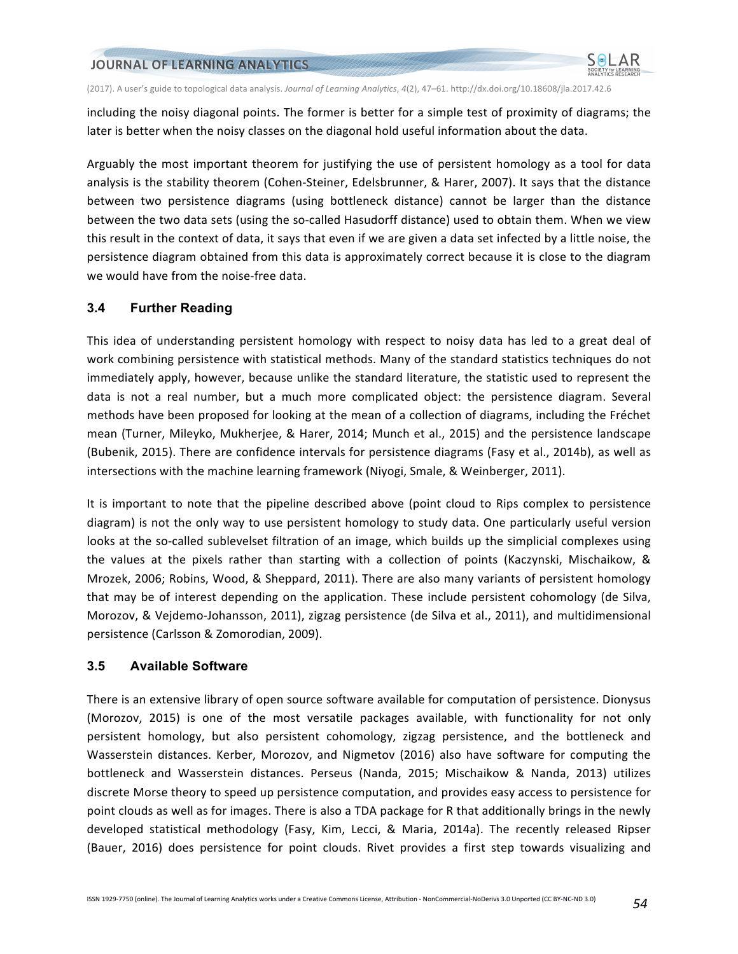(2017). A user's guide to topological data analysis. Journal of Learning Analytics, 4(2), 47–61. http://dx.doi.org/10.18608/jla.2017.42.6

including the noisy diagonal points. The former is better for a simple test of proximity of diagrams; the later is better when the noisy classes on the diagonal hold useful information about the data.

Arguably the most important theorem for justifying the use of persistent homology as a tool for data analysis is the stability theorem (Cohen-Steiner, Edelsbrunner, & Harer, 2007). It says that the distance between two persistence diagrams (using bottleneck distance) cannot be larger than the distance between the two data sets (using the so-called Hasudorff distance) used to obtain them. When we view this result in the context of data, it says that even if we are given a data set infected by a little noise, the persistence diagram obtained from this data is approximately correct because it is close to the diagram we would have from the noise-free data.

#### **3.4 Further Reading**

This idea of understanding persistent homology with respect to noisy data has led to a great deal of work combining persistence with statistical methods. Many of the standard statistics techniques do not immediately apply, however, because unlike the standard literature, the statistic used to represent the data is not a real number, but a much more complicated object: the persistence diagram. Several methods have been proposed for looking at the mean of a collection of diagrams, including the Fréchet mean (Turner, Mileyko, Mukherjee, & Harer, 2014; Munch et al., 2015) and the persistence landscape (Bubenik, 2015). There are confidence intervals for persistence diagrams (Fasy et al., 2014b), as well as intersections with the machine learning framework (Niyogi, Smale, & Weinberger, 2011).

It is important to note that the pipeline described above (point cloud to Rips complex to persistence diagram) is not the only way to use persistent homology to study data. One particularly useful version looks at the so-called sublevelset filtration of an image, which builds up the simplicial complexes using the values at the pixels rather than starting with a collection of points (Kaczynski, Mischaikow, & Mrozek, 2006; Robins, Wood, & Sheppard, 2011). There are also many variants of persistent homology that may be of interest depending on the application. These include persistent cohomology (de Silva, Morozov, & Vejdemo-Johansson, 2011), zigzag persistence (de Silva et al., 2011), and multidimensional persistence (Carlsson & Zomorodian, 2009).

#### **3.5 Available Software**

There is an extensive library of open source software available for computation of persistence. Dionysus (Morozov, 2015) is one of the most versatile packages available, with functionality for not only persistent homology, but also persistent cohomology, zigzag persistence, and the bottleneck and Wasserstein distances. Kerber, Morozov, and Nigmetov (2016) also have software for computing the bottleneck and Wasserstein distances. Perseus (Nanda, 2015; Mischaikow & Nanda, 2013) utilizes discrete Morse theory to speed up persistence computation, and provides easy access to persistence for point clouds as well as for images. There is also a TDA package for R that additionally brings in the newly developed statistical methodology (Fasy, Kim, Lecci, & Maria, 2014a). The recently released Ripser (Bauer, 2016) does persistence for point clouds. Rivet provides a first step towards visualizing and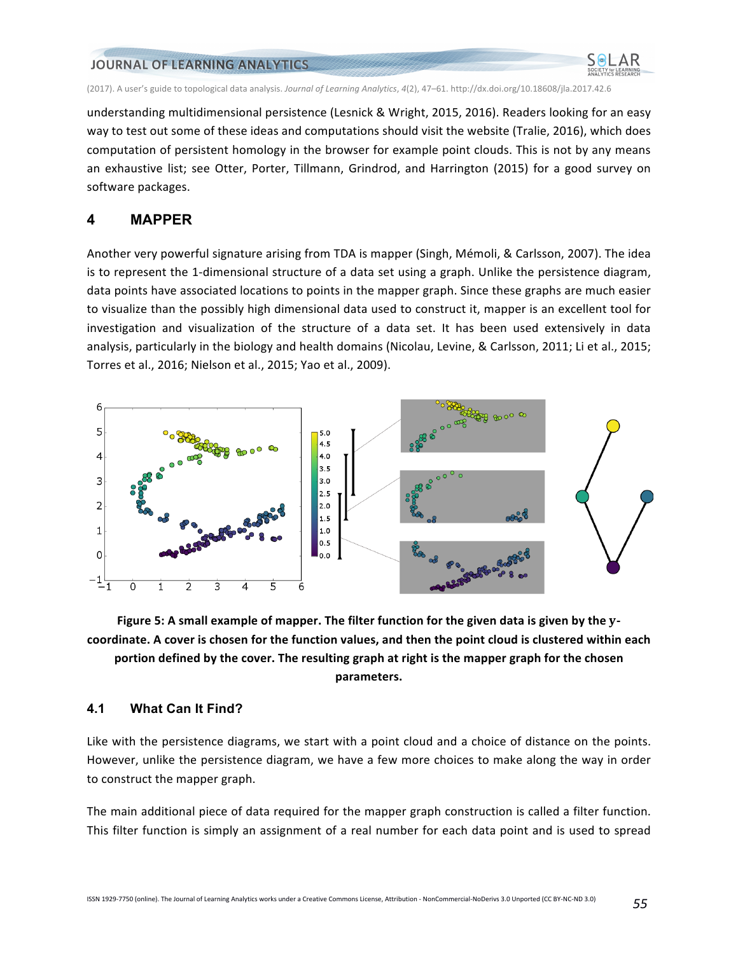

(2017). A user's guide to topological data analysis. *Journal of Learning Analytics*, 4(2), 47-61. http://dx.doi.org/10.18608/jla.2017.42.6

understanding multidimensional persistence (Lesnick & Wright, 2015, 2016). Readers looking for an easy way to test out some of these ideas and computations should visit the website (Tralie, 2016), which does computation of persistent homology in the browser for example point clouds. This is not by any means an exhaustive list; see Otter, Porter, Tillmann, Grindrod, and Harrington (2015) for a good survey on software packages.

## **4 MAPPER**

Another very powerful signature arising from TDA is mapper (Singh, Mémoli, & Carlsson, 2007). The idea is to represent the 1-dimensional structure of a data set using a graph. Unlike the persistence diagram, data points have associated locations to points in the mapper graph. Since these graphs are much easier to visualize than the possibly high dimensional data used to construct it, mapper is an excellent tool for investigation and visualization of the structure of a data set. It has been used extensively in data analysis, particularly in the biology and health domains (Nicolau, Levine, & Carlsson, 2011; Li et al., 2015; Torres et al., 2016; Nielson et al., 2015; Yao et al., 2009).



**Figure** 5: A small example of mapper. The filter function for the given data is given by the ycoordinate. A cover is chosen for the function values, and then the point cloud is clustered within each **portion defined by the cover. The resulting graph at right is the mapper graph for the chosen parameters.**

#### **4.1 What Can It Find?**

Like with the persistence diagrams, we start with a point cloud and a choice of distance on the points. However, unlike the persistence diagram, we have a few more choices to make along the way in order to construct the mapper graph.

The main additional piece of data required for the mapper graph construction is called a filter function. This filter function is simply an assignment of a real number for each data point and is used to spread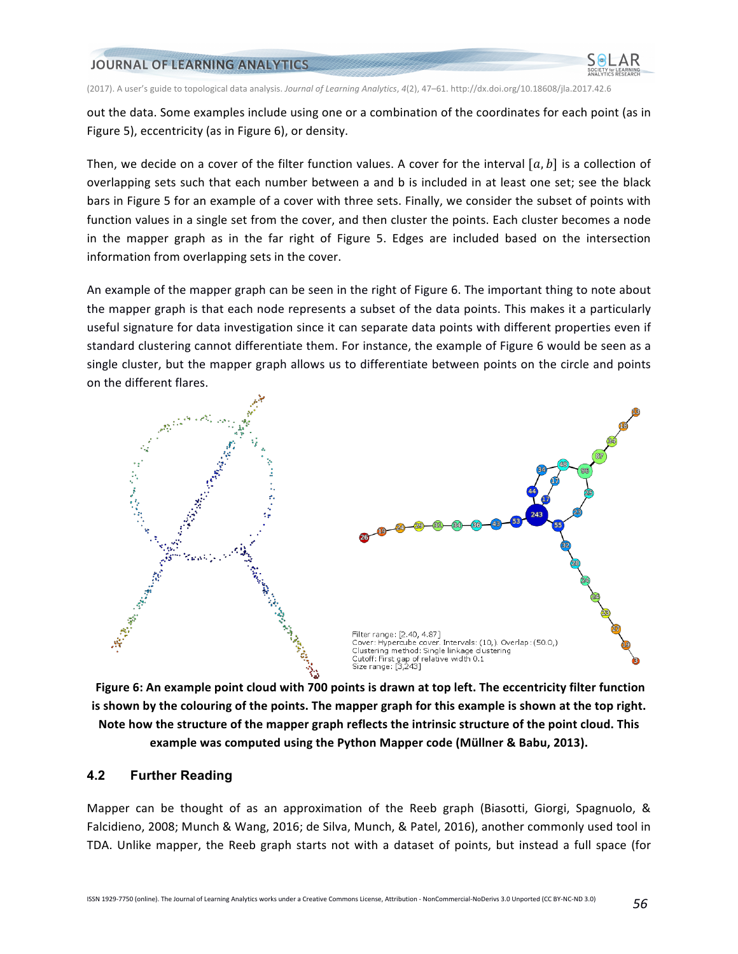

(2017). A user's guide to topological data analysis. *Journal of Learning Analytics*, 4(2), 47-61. http://dx.doi.org/10.18608/jla.2017.42.6

out the data. Some examples include using one or a combination of the coordinates for each point (as in Figure 5), eccentricity (as in Figure 6), or density.

Then, we decide on a cover of the filter function values. A cover for the interval  $[a, b]$  is a collection of overlapping sets such that each number between a and b is included in at least one set; see the black bars in Figure 5 for an example of a cover with three sets. Finally, we consider the subset of points with function values in a single set from the cover, and then cluster the points. Each cluster becomes a node in the mapper graph as in the far right of Figure 5. Edges are included based on the intersection information from overlapping sets in the cover.

An example of the mapper graph can be seen in the right of Figure 6. The important thing to note about the mapper graph is that each node represents a subset of the data points. This makes it a particularly useful signature for data investigation since it can separate data points with different properties even if standard clustering cannot differentiate them. For instance, the example of Figure 6 would be seen as a single cluster, but the mapper graph allows us to differentiate between points on the circle and points on the different flares.





Figure 6: An example point cloud with 700 points is drawn at top left. The eccentricity filter function is shown by the colouring of the points. The mapper graph for this example is shown at the top right. Note how the structure of the mapper graph reflects the intrinsic structure of the point cloud. This example was computed using the Python Mapper code (Müllner & Babu, 2013).

## **4.2 Further Reading**

Mapper can be thought of as an approximation of the Reeb graph (Biasotti, Giorgi, Spagnuolo, & Falcidieno, 2008; Munch & Wang, 2016; de Silva, Munch, & Patel, 2016), another commonly used tool in TDA. Unlike mapper, the Reeb graph starts not with a dataset of points, but instead a full space (for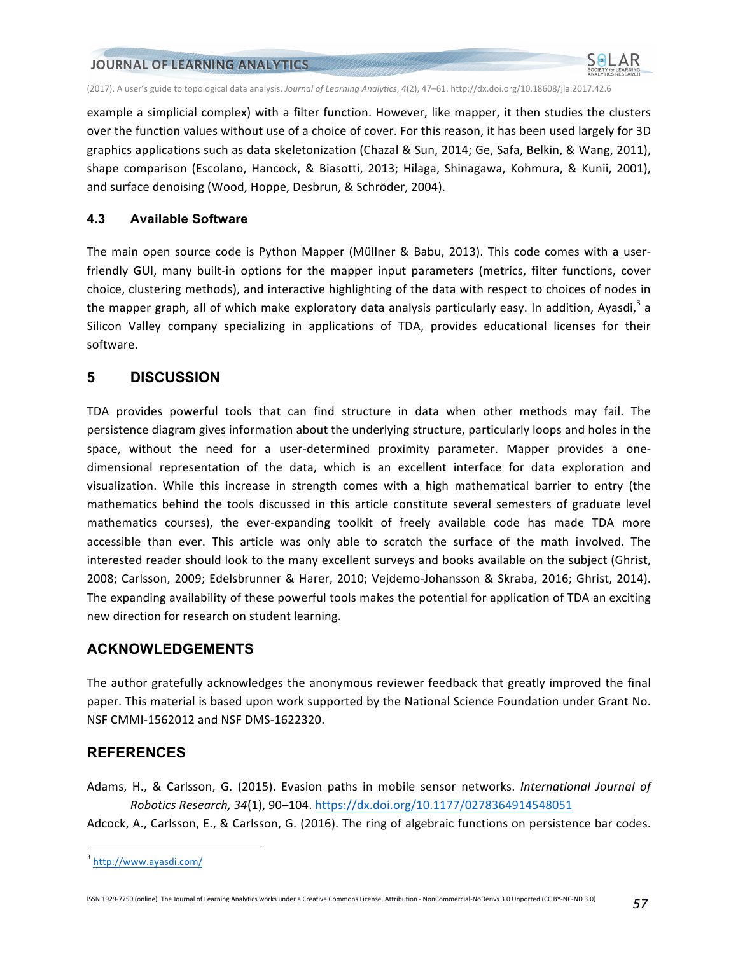

(2017). A user's guide to topological data analysis. *Journal of Learning Analytics*, 4(2), 47-61. http://dx.doi.org/10.18608/jla.2017.42.6

example a simplicial complex) with a filter function. However, like mapper, it then studies the clusters over the function values without use of a choice of cover. For this reason, it has been used largely for 3D graphics applications such as data skeletonization (Chazal & Sun, 2014; Ge, Safa, Belkin, & Wang, 2011), shape comparison (Escolano, Hancock, & Biasotti, 2013; Hilaga, Shinagawa, Kohmura, & Kunii, 2001), and surface denoising (Wood, Hoppe, Desbrun, & Schröder, 2004).

## **4.3 Available Software**

The main open source code is Python Mapper (Müllner & Babu, 2013). This code comes with a userfriendly GUI, many built-in options for the mapper input parameters (metrics, filter functions, cover choice, clustering methods), and interactive highlighting of the data with respect to choices of nodes in the mapper graph, all of which make exploratory data analysis particularly easy. In addition, Ayasdi,<sup>3</sup> a Silicon Valley company specializing in applications of TDA, provides educational licenses for their software.

## **5 DISCUSSION**

TDA provides powerful tools that can find structure in data when other methods may fail. The persistence diagram gives information about the underlying structure, particularly loops and holes in the space, without the need for a user-determined proximity parameter. Mapper provides a onedimensional representation of the data, which is an excellent interface for data exploration and visualization. While this increase in strength comes with a high mathematical barrier to entry (the mathematics behind the tools discussed in this article constitute several semesters of graduate level mathematics courses), the ever-expanding toolkit of freely available code has made TDA more accessible than ever. This article was only able to scratch the surface of the math involved. The interested reader should look to the many excellent surveys and books available on the subject (Ghrist, 2008; Carlsson, 2009; Edelsbrunner & Harer, 2010; Vejdemo-Johansson & Skraba, 2016; Ghrist, 2014). The expanding availability of these powerful tools makes the potential for application of TDA an exciting new direction for research on student learning.

## **ACKNOWLEDGEMENTS**

The author gratefully acknowledges the anonymous reviewer feedback that greatly improved the final paper. This material is based upon work supported by the National Science Foundation under Grant No. NSF CMMI-1562012 and NSF DMS-1622320.

## **REFERENCES**

Adams, H., & Carlsson, G. (2015). Evasion paths in mobile sensor networks. International Journal of *Robotics Research, 34*(1), 90–104. https://dx.doi.org/10.1177/0278364914548051

Adcock, A., Carlsson, E., & Carlsson, G. (2016). The ring of algebraic functions on persistence bar codes.

<sup>3</sup> http://www.ayasdi.com/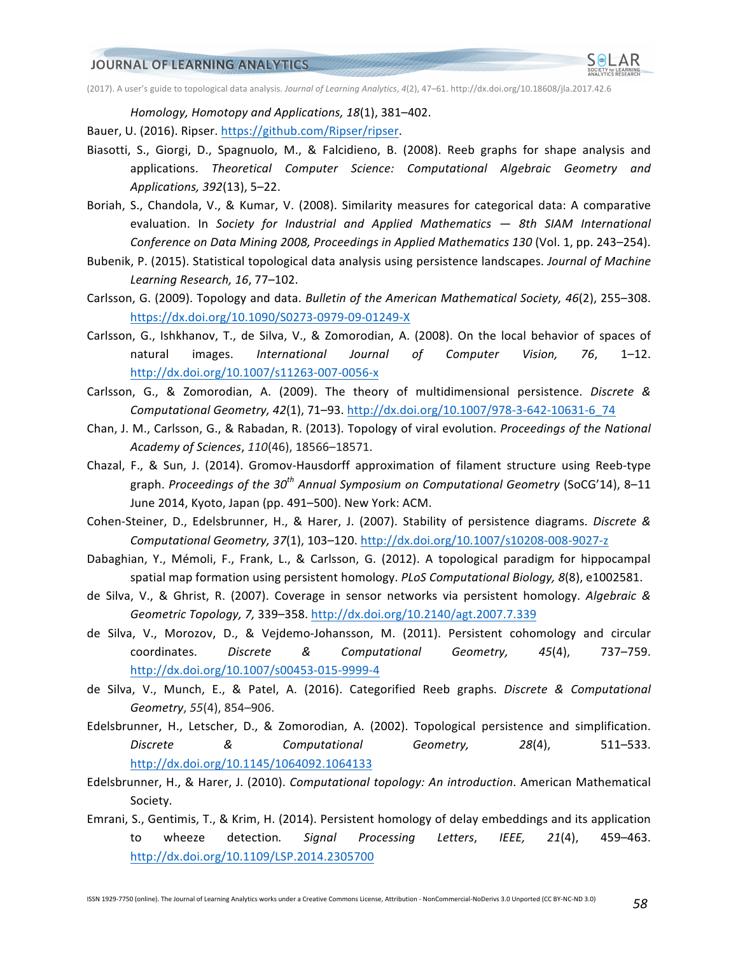

(2017). A user's guide to topological data analysis. *Journal of Learning Analytics*, 4(2), 47-61. http://dx.doi.org/10.18608/jla.2017.42.6

*Homology, Homotopy and Applications, 18*(1), 381-402.

Bauer, U. (2016). Ripser. https://github.com/Ripser/ripser.

- Biasotti, S., Giorgi, D., Spagnuolo, M., & Falcidieno, B. (2008). Reeb graphs for shape analysis and applications. Theoretical Computer Science: Computational Algebraic Geometry and *Applications, 392*(13), 5–22.
- Boriah, S., Chandola, V., & Kumar, V. (2008). Similarity measures for categorical data: A comparative evaluation. In *Society for Industrial and Applied Mathematics*  $-$  8th SIAM International Conference on Data Mining 2008, Proceedings in Applied Mathematics 130 (Vol. 1, pp. 243–254).
- Bubenik, P. (2015). Statistical topological data analysis using persistence landscapes. *Journal of Machine* Learning Research, 16, 77-102.
- Carlsson, G. (2009). Topology and data. *Bulletin of the American Mathematical Society, 46*(2), 255–308. https://dx.doi.org/10.1090/S0273-0979-09-01249-X
- Carlsson, G., Ishkhanov, T., de Silva, V., & Zomorodian, A. (2008). On the local behavior of spaces of natural images. *International Journal of Computer Vision*, 76, 1–12. http://dx.doi.org/10.1007/s11263-007-0056-x
- Carlsson, G., & Zomorodian, A. (2009). The theory of multidimensional persistence. *Discrete & Computational Geometry, 42*(1), 71–93. http://dx.doi.org/10.1007/978-3-642-10631-6\_74
- Chan, J. M., Carlsson, G., & Rabadan, R. (2013). Topology of viral evolution. *Proceedings of the National Academy of Sciences*, *110*(46), 18566–18571.
- Chazal, F., & Sun, J. (2014). Gromov-Hausdorff approximation of filament structure using Reeb-type graph. *Proceedings of the 30<sup>th</sup> Annual Symposium on Computational Geometry* (SoCG'14), 8–11 June 2014, Kyoto, Japan (pp. 491–500). New York: ACM.
- Cohen-Steiner, D., Edelsbrunner, H., & Harer, J. (2007). Stability of persistence diagrams. *Discrete & Computational Geometry, 37*(1), 103–120. http://dx.doi.org/10.1007/s10208-008-9027-z
- Dabaghian, Y., Mémoli, F., Frank, L., & Carlsson, G. (2012). A topological paradigm for hippocampal spatial map formation using persistent homology. *PLoS Computational Biology, 8*(8), e1002581.
- de Silva, V., & Ghrist, R. (2007). Coverage in sensor networks via persistent homology. Algebraic & *Geometric Topology, 7,* 339–358. http://dx.doi.org/10.2140/agt.2007.7.339
- de Silva, V., Morozov, D., & Vejdemo-Johansson, M. (2011). Persistent cohomology and circular coordinates. *Discrete & Computational Geometry, 45*(4), 737–759. http://dx.doi.org/10.1007/s00453-015-9999-4
- de Silva, V., Munch, E., & Patel, A. (2016). Categorified Reeb graphs. *Discrete & Computational Geometry*, *55*(4), 854–906.
- Edelsbrunner, H., Letscher, D., & Zomorodian, A. (2002). Topological persistence and simplification. *Discrete & Computational Geometry, 28*(4), 511–533. http://dx.doi.org/10.1145/1064092.1064133
- Edelsbrunner, H., & Harer, J. (2010). *Computational topology: An introduction*. American Mathematical Society.
- Emrani, S., Gentimis, T., & Krim, H. (2014). Persistent homology of delay embeddings and its application to wheeze detection. Signal Processing Letters, IEEE, 21(4), 459-463. http://dx.doi.org/10.1109/LSP.2014.2305700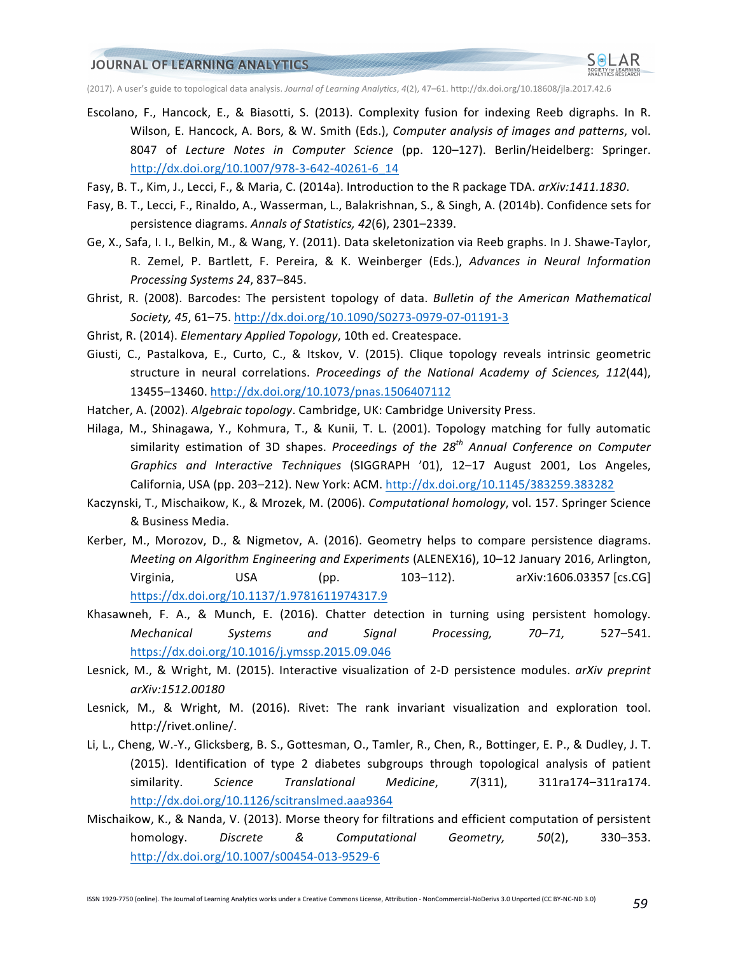

(2017). A user's guide to topological data analysis. *Journal of Learning Analytics*, 4(2), 47-61. http://dx.doi.org/10.18608/jla.2017.42.6

- Escolano, F., Hancock, E., & Biasotti, S. (2013). Complexity fusion for indexing Reeb digraphs. In R. Wilson, E. Hancock, A. Bors, & W. Smith (Eds.), *Computer analysis of images and patterns*, vol. 8047 of Lecture Notes in Computer Science (pp. 120–127). Berlin/Heidelberg: Springer. http://dx.doi.org/10.1007/978-3-642-40261-6\_14
- Fasy, B. T., Kim, J., Lecci, F., & Maria, C. (2014a). Introduction to the R package TDA. *arXiv:1411.1830*.
- Fasy, B. T., Lecci, F., Rinaldo, A., Wasserman, L., Balakrishnan, S., & Singh, A. (2014b). Confidence sets for persistence diagrams. Annals of Statistics, 42(6), 2301-2339.
- Ge, X., Safa, I. I., Belkin, M., & Wang, Y. (2011). Data skeletonization via Reeb graphs. In J. Shawe-Taylor, R. Zemel, P. Bartlett, F. Pereira, & K. Weinberger (Eds.), *Advances in Neural Information Processing Systems 24*, 837–845.
- Ghrist, R. (2008). Barcodes: The persistent topology of data. Bulletin of the American Mathematical *Society, 45*, 61–75. http://dx.doi.org/10.1090/S0273-0979-07-01191-3
- Ghrist, R. (2014). *Elementary Applied Topology*, 10th ed. Createspace.
- Giusti, C., Pastalkova, E., Curto, C., & Itskov, V. (2015). Clique topology reveals intrinsic geometric structure in neural correlations. *Proceedings of the National Academy of Sciences, 112(44)*, 13455–13460. http://dx.doi.org/10.1073/pnas.1506407112
- Hatcher, A. (2002). *Algebraic topology*. Cambridge, UK: Cambridge University Press.
- Hilaga, M., Shinagawa, Y., Kohmura, T., & Kunii, T. L. (2001). Topology matching for fully automatic similarity estimation of 3D shapes. *Proceedings of the 28<sup>th</sup> Annual Conference on Computer Graphics and Interactive Techniques*  (SIGGRAPH '01), 12–17 August 2001, Los Angeles, California, USA (pp. 203–212). New York: ACM. http://dx.doi.org/10.1145/383259.383282
- Kaczynski, T., Mischaikow, K., & Mrozek, M. (2006). *Computational homology*, vol. 157. Springer Science & Business Media.
- Kerber, M., Morozov, D., & Nigmetov, A. (2016). Geometry helps to compare persistence diagrams. *Meeting on Algorithm Engineering and Experiments* (ALENEX16), 10–12 January 2016, Arlington, Virginia, USA (pp. 103–112). arXiv:1606.03357 [cs.CG] https://dx.doi.org/10.1137/1.9781611974317.9
- Khasawneh, F. A., & Munch, E. (2016). Chatter detection in turning using persistent homology. *Mechanical Systems and Signal Processing, 70–71,* 527–541. https://dx.doi.org/10.1016/j.ymssp.2015.09.046
- Lesnick, M., & Wright, M. (2015). Interactive visualization of 2-D persistence modules. *arXiv preprint arXiv:1512.00180*
- Lesnick, M., & Wright, M. (2016). Rivet: The rank invariant visualization and exploration tool. http://rivet.online/.
- Li, L., Cheng, W.-Y., Glicksberg, B. S., Gottesman, O., Tamler, R., Chen, R., Bottinger, E. P., & Dudley, J. T. (2015). Identification of type 2 diabetes subgroups through topological analysis of patient similarity. *Science Translational Medicine*, 7(311), 311ra174–311ra174. http://dx.doi.org/10.1126/scitranslmed.aaa9364
- Mischaikow, K., & Nanda, V. (2013). Morse theory for filtrations and efficient computation of persistent homology. *Discrete* & Computational Geometry, 50(2), 330–353. http://dx.doi.org/10.1007/s00454-013-9529-6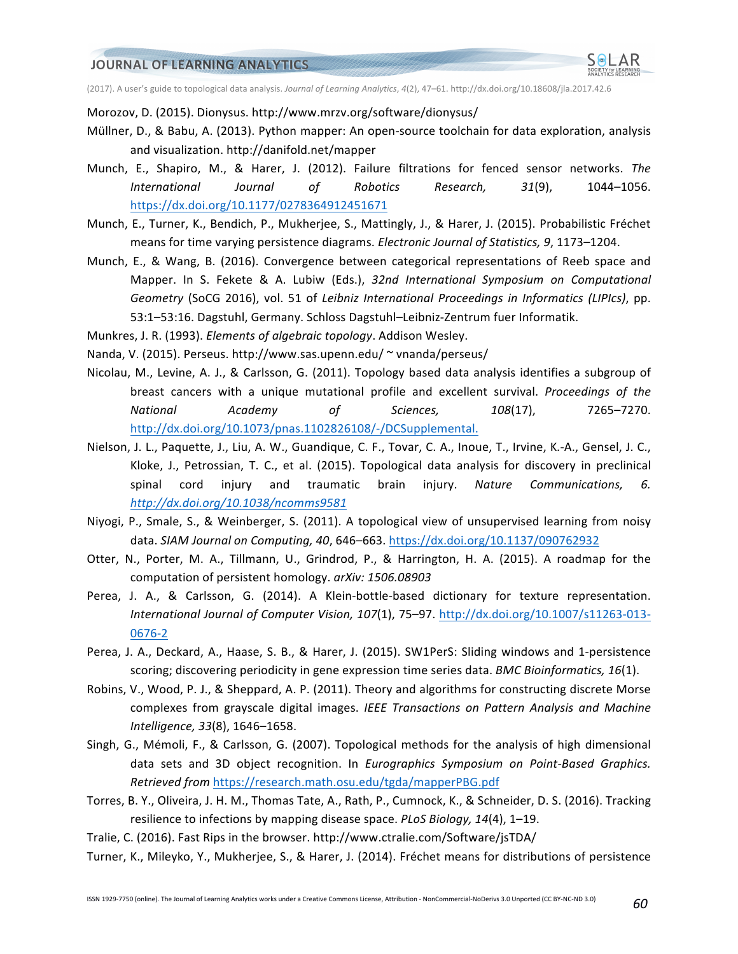

(2017). A user's guide to topological data analysis. *Journal of Learning Analytics*, 4(2), 47-61. http://dx.doi.org/10.18608/jla.2017.42.6

Morozov, D. (2015). Dionysus. http://www.mrzv.org/software/dionysus/

- Müllner, D., & Babu, A. (2013). Python mapper: An open-source toolchain for data exploration, analysis and visualization. http://danifold.net/mapper
- Munch, E., Shapiro, M., & Harer, J. (2012). Failure filtrations for fenced sensor networks. The *International Journal of Robotics Research, 31*(9), 1044–1056. https://dx.doi.org/10.1177/0278364912451671
- Munch, E., Turner, K., Bendich, P., Mukherjee, S., Mattingly, J., & Harer, J. (2015). Probabilistic Fréchet means for time varying persistence diagrams. *Electronic Journal of Statistics, 9*, 1173–1204.
- Munch, E., & Wang, B. (2016). Convergence between categorical representations of Reeb space and Mapper. In S. Fekete & A. Lubiw (Eds.), 32nd International Symposium on Computational *Geometry* (SoCG 2016), vol. 51 of *Leibniz International Proceedings in Informatics (LIPIcs)*, pp. 53:1-53:16. Dagstuhl, Germany. Schloss Dagstuhl-Leibniz-Zentrum fuer Informatik.
- Munkres, J. R. (1993). *Elements of algebraic topology*. Addison Wesley.
- Nanda, V. (2015). Perseus. http://www.sas.upenn.edu/ ~ vnanda/perseus/
- Nicolau, M., Levine, A. J., & Carlsson, G. (2011). Topology based data analysis identifies a subgroup of breast cancers with a unique mutational profile and excellent survival. Proceedings of the *National Academy of Sciences, 108*(17), 7265–7270. http://dx.doi.org/10.1073/pnas.1102826108/-/DCSupplemental.
- Nielson, J. L., Paquette, J., Liu, A. W., Guandique, C. F., Tovar, C. A., Inoue, T., Irvine, K.-A., Gensel, J. C., Kloke, J., Petrossian, T. C., et al. (2015). Topological data analysis for discovery in preclinical spinal cord injury and traumatic brain injury. Nature Communications, 6. *http://dx.doi.org/10.1038/ncomms9581*
- Niyogi, P., Smale, S., & Weinberger, S. (2011). A topological view of unsupervised learning from noisy data. *SIAM Journal on Computing, 40*, 646–663. https://dx.doi.org/10.1137/090762932
- Otter, N., Porter, M. A., Tillmann, U., Grindrod, P., & Harrington, H. A. (2015). A roadmap for the computation of persistent homology. *arXiv:* 1506.08903
- Perea, J. A., & Carlsson, G. (2014). A Klein-bottle-based dictionary for texture representation. *International Journal of Computer Vision, 107*(1), 75–97. http://dx.doi.org/10.1007/s11263-013- 0676-2
- Perea, J. A., Deckard, A., Haase, S. B., & Harer, J. (2015). SW1PerS: Sliding windows and 1-persistence scoring; discovering periodicity in gene expression time series data. *BMC Bioinformatics, 16*(1).
- Robins, V., Wood, P. J., & Sheppard, A. P. (2011). Theory and algorithms for constructing discrete Morse complexes from grayscale digital images. *IEEE Transactions on Pattern Analysis and Machine Intelligence, 33*(8), 1646–1658.
- Singh, G., Mémoli, F., & Carlsson, G. (2007). Topological methods for the analysis of high dimensional data sets and 3D object recognition. In *Eurographics Symposium on Point-Based Graphics. Retrieved from* https://research.math.osu.edu/tgda/mapperPBG.pdf
- Torres, B. Y., Oliveira, J. H. M., Thomas Tate, A., Rath, P., Cumnock, K., & Schneider, D. S. (2016). Tracking resilience to infections by mapping disease space. *PLoS Biology, 14*(4), 1–19.
- Tralie, C. (2016). Fast Rips in the browser. http://www.ctralie.com/Software/jsTDA/
- Turner, K., Mileyko, Y., Mukherjee, S., & Harer, J. (2014). Fréchet means for distributions of persistence